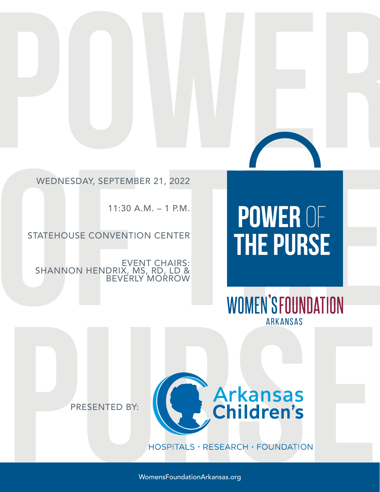## **POWER** WEDNESDAY, SEPTEMBER 21, 2022

11:30 A.M. – 1 P.M.

### STATEHOUSE CONVENTION CENTER

EVENT CHAIRS: SHANNON HENDRIX, MS, RD, LD & BEVERLY MORROW

# WEDNESDAY, SEPTEMBER 21, 2022<br>
11:30 A.M. – 1 P.M.<br>
STATEHOUSE CONVENTION CENTER<br>
SHANNON HENDRUX MS, RD. LES:<br>
BEVERLY MORROW<br>
WOMEN'SFOUNDATION<br>
ARKANSAS



PRESENTED BY:



WomensFoundationArkansas.org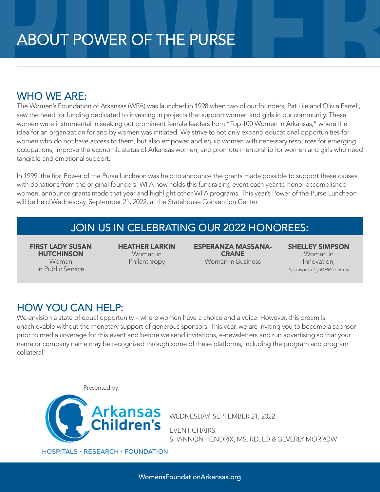### WHO WE ARE:

**ABOUT POWER OF THE PURSE**<br>WHO WE ARE:<br>The Women's Foundation of Arkansas (WFA) was launched in 1998 when two of our founders, Pat Lile and Olivia Farrell,<br>saw the need for funding dedicated to investing in projects that s **WHO WE ARE:**<br>
The Women's Foundation of Arkansas (WFA) was launched in 1998 when two of our foundatis, Pat Lile and Olivia Farrell,<br>
saw the need for funding dedicated to investing in projects that support women and girls The Women's Foundation of Arkansas (WFA) was launched in 1998 when two of our founders, Pat Lile and Olivia Farrell, saw the need for funding dedicated to investing in projects that support women and girls in our community. These women were instrumental in seeking out prominent female leaders from "Top 100 Women in Arkansas," where the idea for an organization for and by women was initiated. We strive to not only expand educational opportunities for women who do not have access to them, but also empower and equip women with necessary resources for emerging occupations, improve the economic status of Arkansas women, and promote mentorship for women and girls who need tangible and emotional support.

In 1999, the first Power of the Purse luncheon was held to announce the grants made possible to support these causes with donations from the original founders. WFA now holds this fundraising event each year to honor accomplished women, announce grants made that year and highlight other WFA programs. This year's Power of the Purse Luncheon will be held Wednesday, September 21, 2022, at the Statehouse Convention Center.

### JOIN US IN CELEBRATING OUR 2022 HONOREES:

FIRST LADY SUSAN **HUTCHINSON** Woman in Public Service

HEATHER LARKIN Woman in Philanthropy

ESPERANZA MASSANA-CRANE Woman in Business

SHELLEY SIMPSON Woman in Innovation, Sponsored by MHP/Team SI

### HOW YOU CAN HELP:

**PUTCHINGON**<br> **PUNCE Service**<br> **PUNCE Service**<br> **PUNCE Service**<br> **PUNCE Service**<br> **PUNCE CAN HELP:**<br> **PUNCE CAN HELP:**<br> **PUNCE CAN HELP:**<br>
We envision a state of equal opportunity – where women have a choice and a voice. H We envision a state of equal opportunity – where women have a choice and a voice. However, this dream is unachievable without the monetary support of generous sponsors. This year, we are inviting you to become a sponsor prior to media coverage for this event and before we send invitations, e-newsletters and run advertising so that your name or company name may be recognized through some of these platforms, including the program and program collateral.

Presented by:



WEDNESDAY, SEPTEMBER 21, 2022

EVENT CHAIRS: SHANNON HENDRIX, MS, RD, LD & BEVERLY MORROW

**HOSPITALS · RESEARCH · FOUNDATION**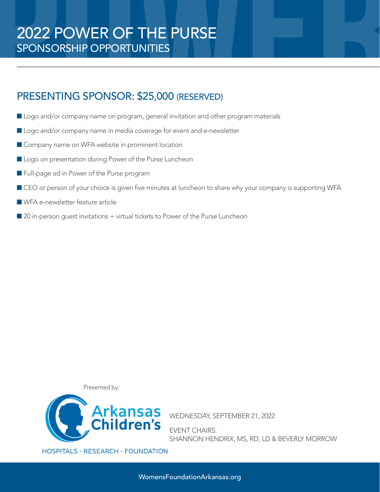### PRESENTING SPONSOR: \$25,000 (RESERVED)

- **Logo and/or company name on program, general invitation and other program materials**
- Logo and/or company name in media coverage for event and e-newsletter
- Company name on WFA website in prominent location
- Logo on presentation during Power of the Purse Luncheon
- Full-page ad in Power of the Purse program
- **PRESENTING SPONSOR: \$25,000 (RESERVED)**<br>
 Logo and/or company name on program, general invitation and other program materials<br>
 Logo and/or company name in media coverage for event and e-newsletter<br>
 Company name on WF  $\blacksquare$  CEO or person of your choice is given five minutes at luncheon to share why your company is supporting WFA
	- $\blacksquare$  WFA e-newsletter feature article
	- $\blacksquare$  20 in-person quest invitations + virtual tickets to Power of the Purse Luncheon

Presented by:



EVENT CHAIRS: SHANNON HENDRIX, MS, RD, LD & BEVERLY MORROW

HOSPITALS · RESEARCH · FOUNDATION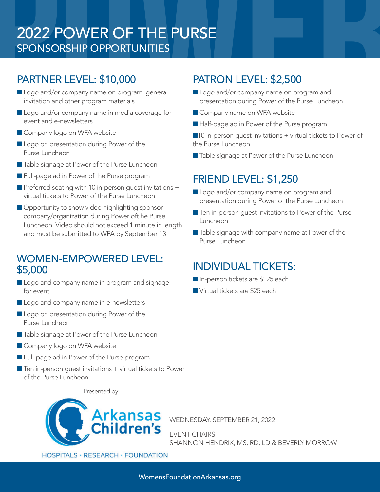### **POWER OF THE PURSE**<br> **PORTION SORE SPONS OR SHIP OPPORTUNITIES**<br>
PARTNER LEVEL: \$10,000 PATRON LEVEL: \$2,500<br>
Logo and/or company name on program, general invitation and other program materials<br>
Logo and/or company name i 2022 POWER OF THE PURSE SPONSORSHIP OPPORTUNITIES

### PARTNER LEVEL: \$10,000

- Logo and/or company name on program, general invitation and other program materials
- Logo and/or company name in media coverage for event and e-newsletters
- Company logo on WFA website
- Logo on presentation during Power of the Purse Luncheon
- Table signage at Power of the Purse Luncheon
- **Full-page ad in Power of the Purse program**
- $\blacksquare$  Preferred seating with 10 in-person guest invitations + virtual tickets to Power of the Purse Luncheon
- **Company and Conservation of Proposition and other program materials**<br>
Company name on WFA website<br>
Single and/or company name in media coverage for<br> **OF The All-page ad in Power of the Furse Luncheon**<br> **OF The All-page Opportunity to show video highlighting sponsor** company/organization during Power oft he Purse Luncheon. Video should not exceed 1 minute in length and must be submitted to WFA by September 13

### WOMEN-EMPOWERED LEVEL: \$5,000

- Logo and company name in program and signage for event
- Logo and company name in e-newsletters
- Logo on presentation during Power of the Purse Luncheon
- Table signage at Power of the Purse Luncheon
- Company logo on WFA website
- **Full-page ad in Power of the Purse program**
- $\blacksquare$  Ten in-person guest invitations + virtual tickets to Power of the Purse Luncheon

### PATRON LEVEL: \$2,500

- Logo and/or company name on program and presentation during Power of the Purse Luncheon
- Company name on WFA website
- Half-page ad in Power of the Purse program

 $\blacksquare$ 10 in-person quest invitations + virtual tickets to Power of the Purse Luncheon

■ Table signage at Power of the Purse Luncheon

### FRIEND LEVEL: \$1,250

- Logo and/or company name on program and presentation during Power of the Purse Luncheon
- $\blacksquare$  Ten in-person guest invitations to Power of the Purse Luncheon
- Table signage with company name at Power of the Purse Luncheon

### INDIVIDUAL TICKETS:

- In-person tickets are \$125 each
- Virtual tickets are \$25 each

Presented by:



WEDNESDAY, SEPTEMBER 21, 2022

EVENT CHAIRS: SHANNON HENDRIX, MS, RD, LD & BEVERLY MORROW

HOSPITALS · RESEARCH · FOUNDATION